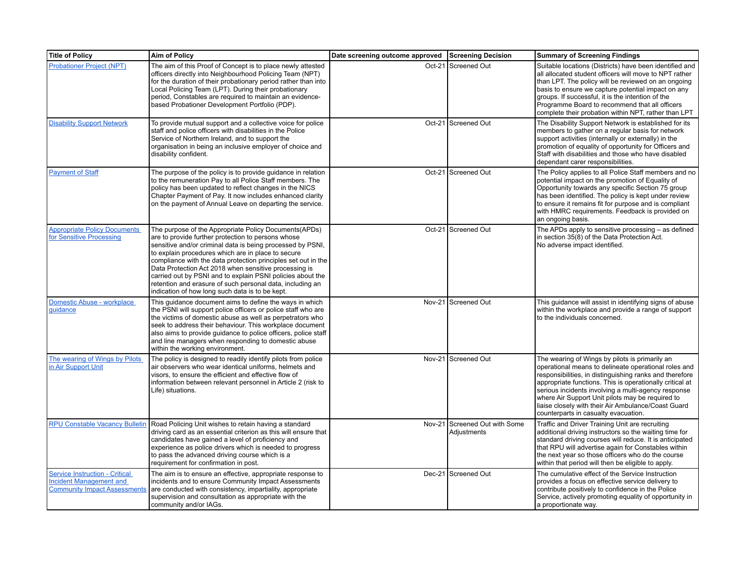| Title of Policy                                                                                         | <b>Aim of Policy</b>                                                                                                                                                                                                                                                                                                                                                                                                                                                                                                                     | Date screening outcome approved Screening Decision |                                              | <b>Summary of Screening Findings</b>                                                                                                                                                                                                                                                                                                                                                                                                    |
|---------------------------------------------------------------------------------------------------------|------------------------------------------------------------------------------------------------------------------------------------------------------------------------------------------------------------------------------------------------------------------------------------------------------------------------------------------------------------------------------------------------------------------------------------------------------------------------------------------------------------------------------------------|----------------------------------------------------|----------------------------------------------|-----------------------------------------------------------------------------------------------------------------------------------------------------------------------------------------------------------------------------------------------------------------------------------------------------------------------------------------------------------------------------------------------------------------------------------------|
| <b>Probationer Project (NPT)</b>                                                                        | The aim of this Proof of Concept is to place newly attested<br>officers directly into Neighbourhood Policing Team (NPT)<br>for the duration of their probationary period rather than into<br>Local Policing Team (LPT). During their probationary<br>period, Constables are required to maintain an evidence-<br>based Probationer Development Portfolio (PDP).                                                                                                                                                                          |                                                    | Oct-21 Screened Out                          | Suitable locations (Districts) have been identified and<br>all allocated student officers will move to NPT rather<br>than LPT. The policy will be reviewed on an ongoing<br>basis to ensure we capture potential impact on any<br>groups. If successful, it is the intention of the<br>Programme Board to recommend that all officers<br>complete their probation within NPT, rather than LPT                                           |
| <b>Disability Support Network</b>                                                                       | To provide mutual support and a collective voice for police<br>staff and police officers with disabilities in the Police<br>Service of Northern Ireland, and to support the<br>organisation in being an inclusive employer of choice and<br>disability confident.                                                                                                                                                                                                                                                                        |                                                    | Oct-21 Screened Out                          | The Disability Support Network is established for its<br>members to gather on a regular basis for network<br>support activities (internally or externally) in the<br>promotion of equality of opportunity for Officers and<br>Staff with disabilities and those who have disabled<br>dependant carer responsibilities.                                                                                                                  |
| <b>Payment of Staff</b>                                                                                 | The purpose of the policy is to provide guidance in relation<br>to the remuneration Pay to all Police Staff members. The<br>policy has been updated to reflect changes in the NICS<br>Chapter Payment of Pay. It now includes enhanced clarity<br>on the payment of Annual Leave on departing the service.                                                                                                                                                                                                                               |                                                    | Oct-21 Screened Out                          | The Policy applies to all Police Staff members and no<br>potential impact on the promotion of Equality of<br>Opportunity towards any specific Section 75 group<br>has been identified. The policy is kept under review<br>to ensure it remains fit for purpose and is compliant<br>with HMRC requirements. Feedback is provided on<br>an ongoing basis.                                                                                 |
| <b>Appropriate Policy Documents</b><br>for Sensitive Processing                                         | The purpose of the Appropriate Policy Documents (APDs)<br>are to provide further protection to persons whose<br>sensitive and/or criminal data is being processed by PSNI,<br>to explain procedures which are in place to secure<br>compliance with the data protection principles set out in the<br>Data Protection Act 2018 when sensitive processing is<br>carried out by PSNI and to explain PSNI policies about the<br>retention and erasure of such personal data, including an<br>indication of how long such data is to be kept. |                                                    | Oct-21 Screened Out                          | The APDs apply to sensitive processing – as defined<br>in section 35(8) of the Data Protection Act.<br>No adverse impact identified.                                                                                                                                                                                                                                                                                                    |
| Domestic Abuse - workplace<br>guidance                                                                  | This quidance document aims to define the ways in which<br>the PSNI will support police officers or police staff who are<br>the victims of domestic abuse as well as perpetrators who<br>seek to address their behaviour. This workplace document<br>also aims to provide guidance to police officers, police staff<br>and line managers when responding to domestic abuse<br>within the working environment.                                                                                                                            |                                                    | Nov-21 Screened Out                          | This guidance will assist in identifying signs of abuse<br>within the workplace and provide a range of support<br>to the individuals concerned.                                                                                                                                                                                                                                                                                         |
| The wearing of Wings by Pilots<br>in Air Support Unit                                                   | The policy is designed to readily identify pilots from police<br>air observers who wear identical uniforms, helmets and<br>visors, to ensure the efficient and effective flow of<br>information between relevant personnel in Article 2 (risk to<br>Life) situations.                                                                                                                                                                                                                                                                    |                                                    | Nov-21 Screened Out                          | The wearing of Wings by pilots is primarily an<br>operational means to delineate operational roles and<br>responsibilities, in distinguishing ranks and therefore<br>appropriate functions. This is operationally critical at<br>serious incidents involving a multi-agency response<br>where Air Support Unit pilots may be required to<br>liaise closely with their Air Ambulance/Coast Guard<br>counterparts in casualty evacuation. |
| <b>RPU Constable Vacancy Bulletin</b>                                                                   | Road Policing Unit wishes to retain having a standard<br>driving card as an essential criterion as this will ensure that<br>candidates have gained a level of proficiency and<br>experience as police drivers which is needed to progress<br>to pass the advanced driving course which is a<br>requirement for confirmation in post.                                                                                                                                                                                                     |                                                    | Nov-21 Screened Out with Some<br>Adjustments | Traffic and Driver Training Unit are recruiting<br>additional driving instructors so the waiting time for<br>standard driving courses will reduce. It is anticipated<br>that RPU will advertise again for Constables within<br>the next year so those officers who do the course<br>within that period will then be eligible to apply.                                                                                                  |
| <b>Service Instruction - Critical</b><br>Incident Management and<br><b>Community Impact Assessments</b> | The aim is to ensure an effective, appropriate response to<br>incidents and to ensure Community Impact Assessments<br>are conducted with consistency, impartiality, appropriate<br>supervision and consultation as appropriate with the<br>community and/or IAGs.                                                                                                                                                                                                                                                                        |                                                    | Dec-21 Screened Out                          | The cumulative effect of the Service Instruction<br>provides a focus on effective service delivery to<br>contribute positively to confidence in the Police<br>Service, actively promoting equality of opportunity in<br>a proportionate way.                                                                                                                                                                                            |